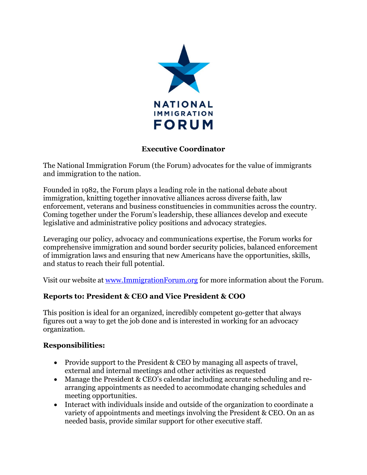

### **Executive Coordinator**

The National Immigration Forum (the Forum) advocates for the value of immigrants and immigration to the nation.

Founded in 1982, the Forum plays a leading role in the national debate about immigration, knitting together innovative alliances across diverse faith, law enforcement, veterans and business constituencies in communities across the country. Coming together under the Forum's leadership, these alliances develop and execute legislative and administrative policy positions and advocacy strategies.

Leveraging our policy, advocacy and communications expertise, the Forum works for comprehensive immigration and sound border security policies, balanced enforcement of immigration laws and ensuring that new Americans have the opportunities, skills, and status to reach their full potential.

Visit our website at [www.ImmigrationForum.org](http://www.immigrationforum.org/) for more information about the Forum.

#### **Reports to: President & CEO and Vice President & COO**

This position is ideal for an organized, incredibly competent go-getter that always figures out a way to get the job done and is interested in working for an advocacy organization.

#### **Responsibilities:**

- Provide support to the President & CEO by managing all aspects of travel, external and internal meetings and other activities as requested
- Manage the President & CEO's calendar including accurate scheduling and rearranging appointments as needed to accommodate changing schedules and meeting opportunities.
- Interact with individuals inside and outside of the organization to coordinate a variety of appointments and meetings involving the President & CEO. On an as needed basis, provide similar support for other executive staff.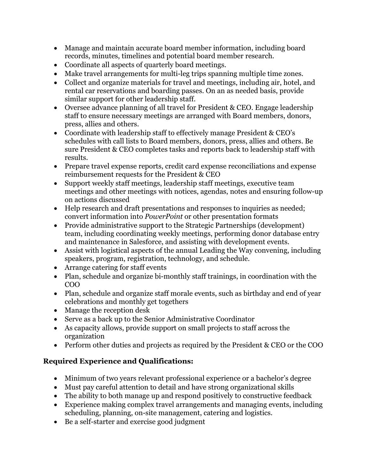- Manage and maintain accurate board member information, including board records, minutes, timelines and potential board member research.
- Coordinate all aspects of quarterly board meetings.
- Make travel arrangements for multi-leg trips spanning multiple time zones.
- Collect and organize materials for travel and meetings, including air, hotel, and rental car reservations and boarding passes. On an as needed basis, provide similar support for other leadership staff.
- Oversee advance planning of all travel for President & CEO. Engage leadership staff to ensure necessary meetings are arranged with Board members, donors, press, allies and others.
- Coordinate with leadership staff to effectively manage President & CEO's schedules with call lists to Board members, donors, press, allies and others. Be sure President & CEO completes tasks and reports back to leadership staff with results.
- Prepare travel expense reports, credit card expense reconciliations and expense reimbursement requests for the President & CEO
- Support weekly staff meetings, leadership staff meetings, executive team meetings and other meetings with notices, agendas, notes and ensuring follow-up on actions discussed
- Help research and draft presentations and responses to inquiries as needed: convert information into *PowerPoint* or other presentation formats
- Provide administrative support to the Strategic Partnerships (development) team, including coordinating weekly meetings, performing donor database entry and maintenance in Salesforce, and assisting with development events.
- Assist with logistical aspects of the annual Leading the Way convening, including speakers, program, registration, technology, and schedule.
- Arrange catering for staff events
- Plan, schedule and organize bi-monthly staff trainings, in coordination with the COO
- Plan, schedule and organize staff morale events, such as birthday and end of year celebrations and monthly get togethers
- Manage the reception desk
- Serve as a back up to the Senior Administrative Coordinator
- As capacity allows, provide support on small projects to staff across the organization
- Perform other duties and projects as required by the President & CEO or the COO

# **Required Experience and Qualifications:**

- Minimum of two years relevant professional experience or a bachelor's degree
- Must pay careful attention to detail and have strong organizational skills
- The ability to both manage up and respond positively to constructive feedback
- Experience making complex travel arrangements and managing events, including scheduling, planning, on-site management, catering and logistics.
- Be a self-starter and exercise good judgment